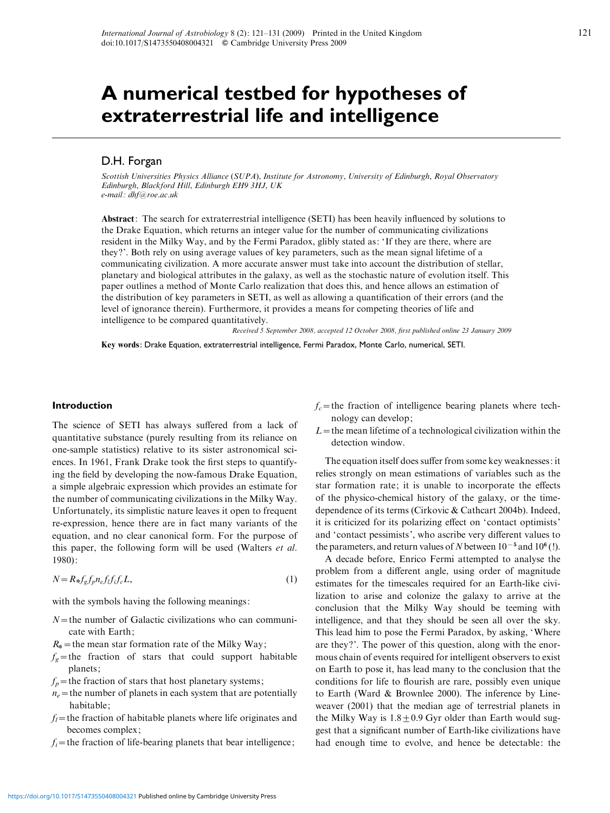# D.H. Forgan

Scottish Universities Physics Alliance (SUPA), Institute for Astronomy, University of Edinburgh, Royal Observatory Edinburgh, Blackford Hill, Edinburgh EH9 3HJ, UK e-mail : dhf@roe.ac.uk

Abstract: The search for extraterrestrial intelligence (SETI) has been heavily influenced by solutions to the Drake Equation, which returns an integer value for the number of communicating civilizations resident in the Milky Way, and by the Fermi Paradox, glibly stated as: ' If they are there, where are they ?'. Both rely on using average values of key parameters, such as the mean signal lifetime of a communicating civilization. A more accurate answer must take into account the distribution of stellar, planetary and biological attributes in the galaxy, as well as the stochastic nature of evolution itself. This paper outlines a method of Monte Carlo realization that does this, and hence allows an estimation of the distribution of key parameters in SETI, as well as allowing a quantification of their errors (and the level of ignorance therein). Furthermore, it provides a means for competing theories of life and intelligence to be compared quantitatively.

Received 5 September 2008, accepted 12 October 2008, first published online 23 January 2009

Key words: Drake Equation, extraterrestrial intelligence, Fermi Paradox, Monte Carlo, numerical, SETI.

#### Introduction

The science of SETI has always suffered from a lack of quantitative substance (purely resulting from its reliance on one-sample statistics) relative to its sister astronomical sciences. In 1961, Frank Drake took the first steps to quantifying the field by developing the now-famous Drake Equation, a simple algebraic expression which provides an estimate for the number of communicating civilizations in the Milky Way. Unfortunately, its simplistic nature leaves it open to frequent re-expression, hence there are in fact many variants of the equation, and no clear canonical form. For the purpose of this paper, the following form will be used (Walters et al. 1980):

$$
N = R * f_g f_p n_e f_l f_i f_c L,
$$
\n(1)

with the symbols having the following meanings:

- $N$ = the number of Galactic civilizations who can communicate with Earth;
- $R_*$  = the mean star formation rate of the Milky Way;
- $f_g$ =the fraction of stars that could support habitable planets;
- $f_p$  = the fraction of stars that host planetary systems;
- $n_e$  = the number of planets in each system that are potentially habitable;
- $f_l$ =the fraction of habitable planets where life originates and becomes complex;
- $f_i$ =the fraction of life-bearing planets that bear intelligence;
- $f_c$ =the fraction of intelligence bearing planets where technology can develop;
- $L$  = the mean lifetime of a technological civilization within the detection window.

The equation itself does suffer from some key weaknesses: it relies strongly on mean estimations of variables such as the star formation rate; it is unable to incorporate the effects of the physico-chemical history of the galaxy, or the timedependence of its terms (Cirkovic & Cathcart 2004b). Indeed, it is criticized for its polarizing effect on 'contact optimists' and 'contact pessimists', who ascribe very different values to the parameters, and return values of N between  $10^{-5}$  and  $10^{6}$  (!).

A decade before, Enrico Fermi attempted to analyse the problem from a different angle, using order of magnitude estimates for the timescales required for an Earth-like civilization to arise and colonize the galaxy to arrive at the conclusion that the Milky Way should be teeming with intelligence, and that they should be seen all over the sky. This lead him to pose the Fermi Paradox, by asking, 'Where are they?'. The power of this question, along with the enormous chain of events required for intelligent observers to exist on Earth to pose it, has lead many to the conclusion that the conditions for life to flourish are rare, possibly even unique to Earth (Ward & Brownlee 2000). The inference by Lineweaver (2001) that the median age of terrestrial planets in the Milky Way is  $1.8 \pm 0.9$  Gyr older than Earth would suggest that a significant number of Earth-like civilizations have had enough time to evolve, and hence be detectable: the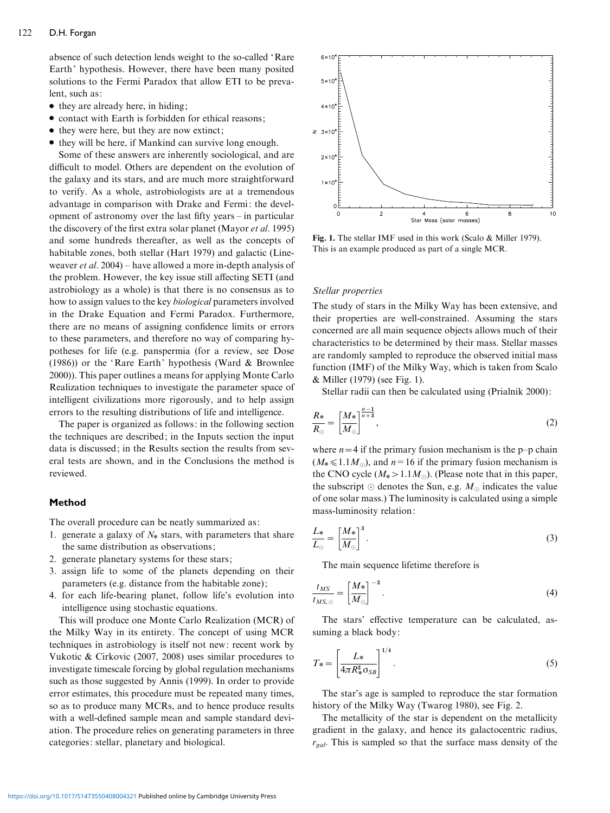absence of such detection lends weight to the so-called 'Rare Earth' hypothesis. However, there have been many posited solutions to the Fermi Paradox that allow ETI to be prevalent, such as:

- they are already here, in hiding;
- contact with Earth is forbidden for ethical reasons;
- they were here, but they are now extinct;
- . they will be here, if Mankind can survive long enough.

Some of these answers are inherently sociological, and are difficult to model. Others are dependent on the evolution of the galaxy and its stars, and are much more straightforward to verify. As a whole, astrobiologists are at a tremendous advantage in comparison with Drake and Fermi: the development of astronomy over the last fifty years – in particular the discovery of the first extra solar planet (Mayor et al. 1995) and some hundreds thereafter, as well as the concepts of habitable zones, both stellar (Hart 1979) and galactic (Lineweaver et al. 2004) – have allowed a more in-depth analysis of the problem. However, the key issue still affecting SETI (and astrobiology as a whole) is that there is no consensus as to how to assign values to the key biological parameters involved in the Drake Equation and Fermi Paradox. Furthermore, there are no means of assigning confidence limits or errors to these parameters, and therefore no way of comparing hypotheses for life (e.g. panspermia (for a review, see Dose (1986)) or the 'Rare Earth' hypothesis (Ward & Brownlee 2000)). This paper outlines a means for applying Monte Carlo Realization techniques to investigate the parameter space of intelligent civilizations more rigorously, and to help assign errors to the resulting distributions of life and intelligence.

The paper is organized as follows: in the following section the techniques are described; in the Inputs section the input data is discussed; in the Results section the results from several tests are shown, and in the Conclusions the method is reviewed.

### Method

The overall procedure can be neatly summarized as:

- 1. generate a galaxy of  $N_*$  stars, with parameters that share the same distribution as observations;
- 2. generate planetary systems for these stars;
- 3. assign life to some of the planets depending on their parameters (e.g. distance from the habitable zone);
- 4. for each life-bearing planet, follow life's evolution into intelligence using stochastic equations.

This will produce one Monte Carlo Realization (MCR) of the Milky Way in its entirety. The concept of using MCR techniques in astrobiology is itself not new: recent work by Vukotic & Cirkovic (2007, 2008) uses similar procedures to investigate timescale forcing by global regulation mechanisms such as those suggested by Annis (1999). In order to provide error estimates, this procedure must be repeated many times, so as to produce many MCRs, and to hence produce results with a well-defined sample mean and sample standard deviation. The procedure relies on generating parameters in three categories: stellar, planetary and biological.



Fig. 1. The stellar IMF used in this work (Scalo & Miller 1979). This is an example produced as part of a single MCR.

#### Stellar properties

The study of stars in the Milky Way has been extensive, and their properties are well-constrained. Assuming the stars concerned are all main sequence objects allows much of their characteristics to be determined by their mass. Stellar masses are randomly sampled to reproduce the observed initial mass function (IMF) of the Milky Way, which is taken from Scalo & Miller (1979) (see Fig. 1).

Stellar radii can then be calculated using (Prialnik 2000):

$$
\frac{R_{*}}{R_{\odot}} = \left[\frac{M_{*}}{M_{\odot}}\right]^{\frac{n-1}{n+3}},\tag{2}
$$

where  $n=4$  if the primary fusion mechanism is the p–p chain  $(M_* \leq 1.1 M_{\odot})$ , and  $n=16$  if the primary fusion mechanism is the CNO cycle  $(M_*>1.1M_{\odot})$ . (Please note that in this paper, the subscript  $\odot$  denotes the Sun, e.g.  $M_{\odot}$  indicates the value of one solar mass.) The luminosity is calculated using a simple mass-luminosity relation:

$$
\frac{L_*}{L_{\odot}} = \left[\frac{M*}{M_{\odot}}\right]^3.
$$
\n(3)

The main sequence lifetime therefore is

$$
\frac{t_{MS}}{t_{MS,\odot}} = \left[\frac{M*}{M_{\odot}}\right]^{-2}.\tag{4}
$$

The stars' effective temperature can be calculated, assuming a black body:

$$
T_* = \left[\frac{L_*}{4\pi R_*^2 \sigma_{SB}}\right]^{1/4}.\tag{5}
$$

The star's age is sampled to reproduce the star formation history of the Milky Way (Twarog 1980), see Fig. 2.

The metallicity of the star is dependent on the metallicity gradient in the galaxy, and hence its galactocentric radius,  $r_{gal}$ . This is sampled so that the surface mass density of the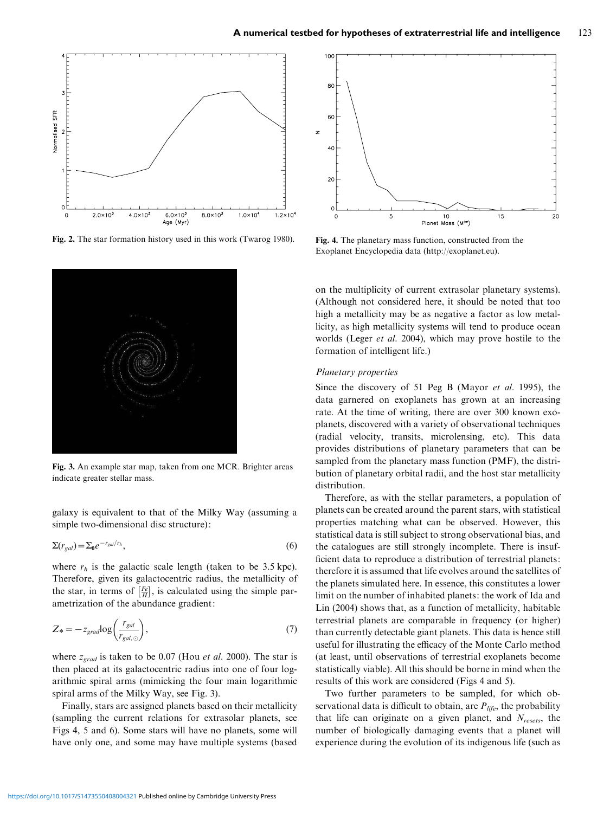

Fig. 2. The star formation history used in this work (Twarog 1980).



Fig. 3. An example star map, taken from one MCR. Brighter areas indicate greater stellar mass.

galaxy is equivalent to that of the Milky Way (assuming a simple two-dimensional disc structure):

$$
\Sigma(r_{gal}) = \Sigma_0 e^{-r_{gal}/r_h},\tag{6}
$$

where  $r_h$  is the galactic scale length (taken to be 3.5 kpc). Therefore, given its galactocentric radius, the metallicity of the star, in terms of  $\left[\frac{Fe}{H}\right]$ , is calculated using the simple parametrization of the abundance gradient:

$$
Z_* = -z_{grad} \log \left( \frac{r_{gal}}{r_{gal,\odot}} \right),\tag{7}
$$

where  $z_{grad}$  is taken to be 0.07 (Hou *et al.* 2000). The star is then placed at its galactocentric radius into one of four logarithmic spiral arms (mimicking the four main logarithmic spiral arms of the Milky Way, see Fig. 3).

Finally, stars are assigned planets based on their metallicity (sampling the current relations for extrasolar planets, see Figs 4, 5 and 6). Some stars will have no planets, some will have only one, and some may have multiple systems (based



Fig. 4. The planetary mass function, constructed from the Exoplanet Encyclopedia data (http://exoplanet.eu).

on the multiplicity of current extrasolar planetary systems). (Although not considered here, it should be noted that too high a metallicity may be as negative a factor as low metallicity, as high metallicity systems will tend to produce ocean worlds (Leger et al. 2004), which may prove hostile to the formation of intelligent life.)

#### Planetary properties

Since the discovery of 51 Peg B (Mayor et al. 1995), the data garnered on exoplanets has grown at an increasing rate. At the time of writing, there are over 300 known exoplanets, discovered with a variety of observational techniques (radial velocity, transits, microlensing, etc). This data provides distributions of planetary parameters that can be sampled from the planetary mass function (PMF), the distribution of planetary orbital radii, and the host star metallicity distribution.

Therefore, as with the stellar parameters, a population of planets can be created around the parent stars, with statistical properties matching what can be observed. However, this statistical data is still subject to strong observational bias, and the catalogues are still strongly incomplete. There is insufficient data to reproduce a distribution of terrestrial planets: therefore it is assumed that life evolves around the satellites of the planets simulated here. In essence, this constitutes a lower limit on the number of inhabited planets: the work of Ida and Lin (2004) shows that, as a function of metallicity, habitable terrestrial planets are comparable in frequency (or higher) than currently detectable giant planets. This data is hence still useful for illustrating the efficacy of the Monte Carlo method (at least, until observations of terrestrial exoplanets become statistically viable). All this should be borne in mind when the results of this work are considered (Figs 4 and 5).

Two further parameters to be sampled, for which observational data is difficult to obtain, are  $P_{life}$ , the probability that life can originate on a given planet, and  $N_{resets}$ , the number of biologically damaging events that a planet will experience during the evolution of its indigenous life (such as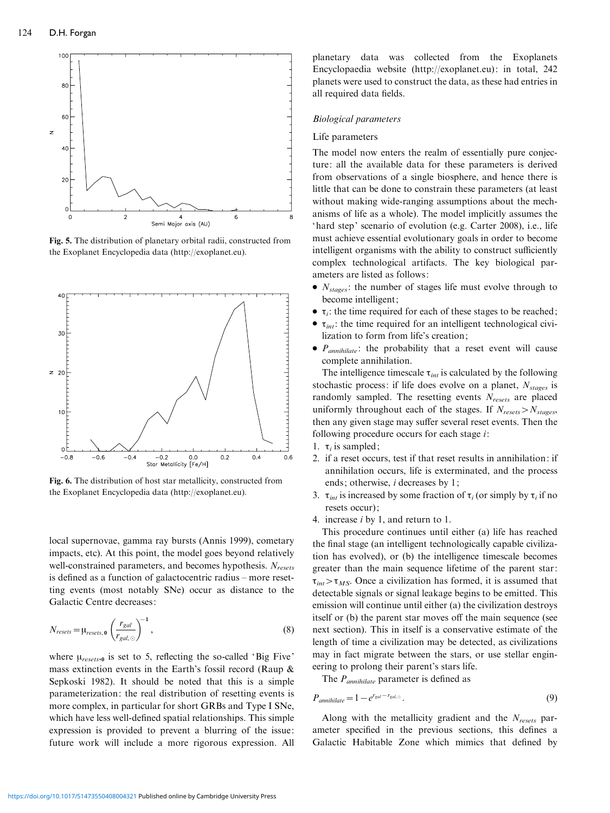

Fig. 5. The distribution of planetary orbital radii, constructed from the Exoplanet Encyclopedia data (http://exoplanet.eu).



Fig. 6. The distribution of host star metallicity, constructed from the Exoplanet Encyclopedia data (http://exoplanet.eu).

local supernovae, gamma ray bursts (Annis 1999), cometary impacts, etc). At this point, the model goes beyond relatively well-constrained parameters, and becomes hypothesis.  $N_{resets}$ is defined as a function of galactocentric radius – more resetting events (most notably SNe) occur as distance to the Galactic Centre decreases:

$$
N_{resets} = \mu_{resets,0} \left(\frac{r_{gal}}{r_{gal,\odot}}\right)^{-1},\tag{8}
$$

where  $\mu_{resets}$ , is set to 5, reflecting the so-called 'Big Five' mass extinction events in the Earth's fossil record (Raup & Sepkoski 1982). It should be noted that this is a simple parameterization: the real distribution of resetting events is more complex, in particular for short GRBs and Type I SNe, which have less well-defined spatial relationships. This simple expression is provided to prevent a blurring of the issue: future work will include a more rigorous expression. All

planetary data was collected from the Exoplanets Encyclopaedia website (http://exoplanet.eu): in total, 242 planets were used to construct the data, as these had entries in all required data fields.

#### Biological parameters

### Life parameters

The model now enters the realm of essentially pure conjecture: all the available data for these parameters is derived from observations of a single biosphere, and hence there is little that can be done to constrain these parameters (at least without making wide-ranging assumptions about the mechanisms of life as a whole). The model implicitly assumes the 'hard step' scenario of evolution (e.g. Carter 2008), i.e., life must achieve essential evolutionary goals in order to become intelligent organisms with the ability to construct sufficiently complex technological artifacts. The key biological parameters are listed as follows:

- $\bullet$   $N_{stages}$ : the number of stages life must evolve through to become intelligent;
- $\bullet$   $\tau_i$ : the time required for each of these stages to be reached;
- $\bullet$   $\tau_{int}$ : the time required for an intelligent technological civilization to form from life's creation;
- $\bullet$   $P_{annihilate}$ : the probability that a reset event will cause complete annihilation.

The intelligence timescale  $\tau_{int}$  is calculated by the following stochastic process: if life does evolve on a planet,  $N_{stages}$  is randomly sampled. The resetting events  $N_{resets}$  are placed uniformly throughout each of the stages. If  $N_{resets} > N_{stages}$ , then any given stage may suffer several reset events. Then the following procedure occurs for each stage i:

- 1.  $\tau$  is sampled:
- 2. if a reset occurs, test if that reset results in annihilation: if annihilation occurs, life is exterminated, and the process ends; otherwise, i decreases by 1;
- 3.  $\tau_{int}$  is increased by some fraction of  $\tau_i$  (or simply by  $\tau_i$  if no resets occur);
- 4. increase i by 1, and return to 1.

This procedure continues until either (a) life has reached the final stage (an intelligent technologically capable civilization has evolved), or (b) the intelligence timescale becomes greater than the main sequence lifetime of the parent star:  $\tau_{int} > \tau_{MS}$ . Once a civilization has formed, it is assumed that detectable signals or signal leakage begins to be emitted. This emission will continue until either (a) the civilization destroys itself or (b) the parent star moves off the main sequence (see next section). This in itself is a conservative estimate of the length of time a civilization may be detected, as civilizations may in fact migrate between the stars, or use stellar engineering to prolong their parent's stars life.

The  $P_{annihilate}$  parameter is defined as

$$
P_{annihilate} = 1 - e^{r_{gal} - r_{gal,\odot}}.
$$
\n(9)

Along with the metallicity gradient and the  $N_{resets}$  parameter specified in the previous sections, this defines a Galactic Habitable Zone which mimics that defined by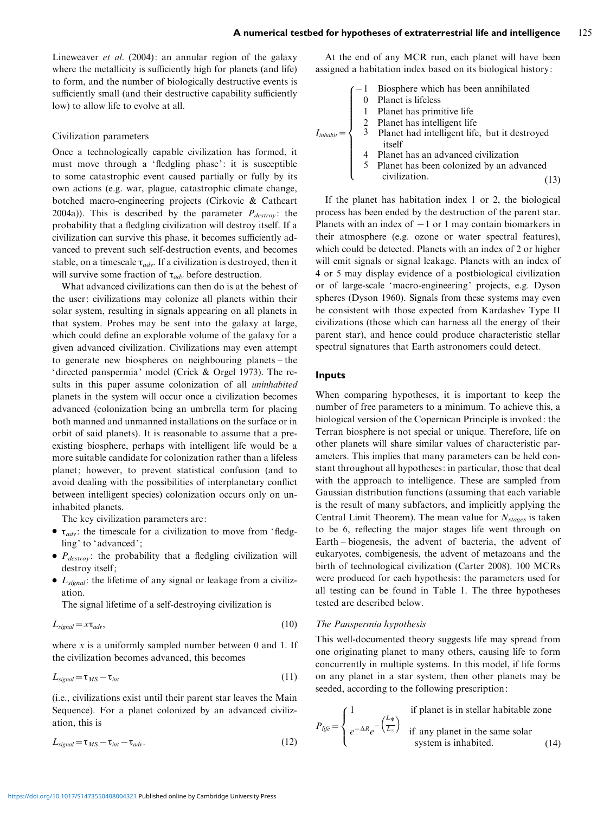Lineweaver *et al.* (2004): an annular region of the galaxy where the metallicity is sufficiently high for planets (and life) to form, and the number of biologically destructive events is sufficiently small (and their destructive capability sufficiently low) to allow life to evolve at all.

### Civilization parameters

Once a technologically capable civilization has formed, it must move through a 'fledgling phase': it is susceptible to some catastrophic event caused partially or fully by its own actions (e.g. war, plague, catastrophic climate change, botched macro-engineering projects (Cirkovic & Cathcart 2004a)). This is described by the parameter  $P_{destrov}$ : the probability that a fledgling civilization will destroy itself. If a civilization can survive this phase, it becomes sufficiently advanced to prevent such self-destruction events, and becomes stable, on a timescale  $\tau_{adv}$ . If a civilization is destroyed, then it will survive some fraction of  $\tau_{adv}$  before destruction.

What advanced civilizations can then do is at the behest of the user: civilizations may colonize all planets within their solar system, resulting in signals appearing on all planets in that system. Probes may be sent into the galaxy at large, which could define an explorable volume of the galaxy for a given advanced civilization. Civilizations may even attempt to generate new biospheres on neighbouring planets – the 'directed panspermia' model (Crick & Orgel 1973). The results in this paper assume colonization of all *uninhabited* planets in the system will occur once a civilization becomes advanced (colonization being an umbrella term for placing both manned and unmanned installations on the surface or in orbit of said planets). It is reasonable to assume that a preexisting biosphere, perhaps with intelligent life would be a more suitable candidate for colonization rather than a lifeless planet; however, to prevent statistical confusion (and to avoid dealing with the possibilities of interplanetary conflict between intelligent species) colonization occurs only on uninhabited planets.

The key civilization parameters are:

- $\bullet$   $\tau_{adv}$ : the timescale for a civilization to move from 'fledgling' to 'advanced';
- $\bullet$   $P_{\text{destroy}}$ : the probability that a fledgling civilization will destroy itself;
- $\bullet$   $L_{signal}$ : the lifetime of any signal or leakage from a civilization.

The signal lifetime of a self-destroying civilization is

$$
L_{signal} = x\tau_{adv},\tag{10}
$$

where  $x$  is a uniformly sampled number between 0 and 1. If the civilization becomes advanced, this becomes

$$
L_{signal} = \tau_{MS} - \tau_{int} \tag{11}
$$

(i.e., civilizations exist until their parent star leaves the Main Sequence). For a planet colonized by an advanced civilization, this is

$$
L_{signal} = \tau_{MS} - \tau_{int} - \tau_{adv}.
$$
\n(12)

At the end of any MCR run, each planet will have been assigned a habitation index based on its biological history:

|  | -1 Biosphere which has been annihilated<br>0 Planet is lifeless<br>1 Planet has primitive life                                               |  |
|--|----------------------------------------------------------------------------------------------------------------------------------------------|--|
|  |                                                                                                                                              |  |
|  |                                                                                                                                              |  |
|  | $I_{inhabit} = \begin{cases} 2 & \text{Planet has intelligent life} \\ 3 & \text{Planet had intelligent life, but it destroyed} \end{cases}$ |  |
|  | itself                                                                                                                                       |  |
|  | 4 Planet has an advanced civilization                                                                                                        |  |
|  | 5 Planet has been colonized by an advanced                                                                                                   |  |
|  | civilization.                                                                                                                                |  |

If the planet has habitation index 1 or 2, the biological process has been ended by the destruction of the parent star. Planets with an index of  $-1$  or 1 may contain biomarkers in their atmosphere (e.g. ozone or water spectral features), which could be detected. Planets with an index of 2 or higher will emit signals or signal leakage. Planets with an index of 4 or 5 may display evidence of a postbiological civilization or of large-scale 'macro-engineering' projects, e.g. Dyson spheres (Dyson 1960). Signals from these systems may even be consistent with those expected from Kardashev Type II civilizations (those which can harness all the energy of their parent star), and hence could produce characteristic stellar spectral signatures that Earth astronomers could detect.

### Inputs

When comparing hypotheses, it is important to keep the number of free parameters to a minimum. To achieve this, a biological version of the Copernican Principle is invoked: the Terran biosphere is not special or unique. Therefore, life on other planets will share similar values of characteristic parameters. This implies that many parameters can be held constant throughout all hypotheses: in particular, those that deal with the approach to intelligence. These are sampled from Gaussian distribution functions (assuming that each variable is the result of many subfactors, and implicitly applying the Central Limit Theorem). The mean value for  $N_{stages}$  is taken to be 6, reflecting the major stages life went through on Earth – biogenesis, the advent of bacteria, the advent of eukaryotes, combigenesis, the advent of metazoans and the birth of technological civilization (Carter 2008). 100 MCRs were produced for each hypothesis: the parameters used for all testing can be found in Table 1. The three hypotheses tested are described below.

#### The Panspermia hypothesis

This well-documented theory suggests life may spread from one originating planet to many others, causing life to form concurrently in multiple systems. In this model, if life forms on any planet in a star system, then other planets may be seeded, according to the following prescription:

$$
P_{life} = \begin{cases} 1 & \text{if planet is in stellar habitable zone} \\ e^{-\Delta R} e^{-\left(\frac{L_{*}}{L_{\odot}}\right)} & \text{if any planet in the same solar system is inhabited.} \end{cases}
$$
(14)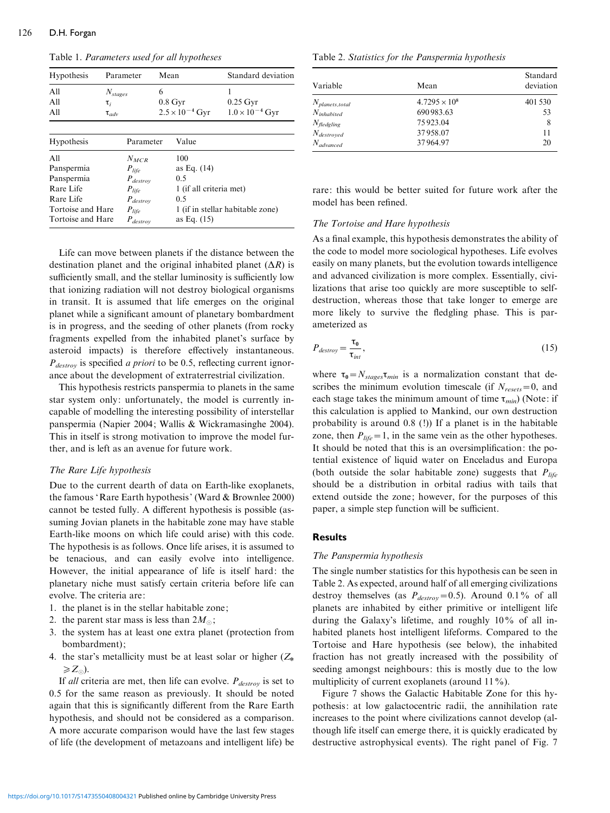Table 1. Parameters used for all hypotheses

| Hypothesis          | Parameter            | Mean                     | Standard deviation               |  |
|---------------------|----------------------|--------------------------|----------------------------------|--|
| A11                 | $N_{stages}$         | 6                        | 1                                |  |
| A11<br>$\tau_i$     |                      | $0.8 \,\mathrm{Gyr}$     | $0.25 \,\mathrm{Gyr}$            |  |
| A11<br>$\tau_{adv}$ |                      | $2.5 \times 10^{-4}$ Gyr | $1.0 \times 10^{-4}$ Gyr         |  |
|                     |                      |                          |                                  |  |
| Hypothesis          | Parameter            | Value                    |                                  |  |
| A11                 | $N_{MCR}$            | 100                      |                                  |  |
| Panspermia          | $P_{life}$           | as Eq. (14)              |                                  |  |
| Panspermia          | $P_{\text{destroy}}$ | 0.5                      |                                  |  |
| Rare Life           | $P_{life}$           | 1 (if all criteria met)  |                                  |  |
| Rare Life           | $P_{\text{destrov}}$ | 0.5                      |                                  |  |
| Tortoise and Hare   | $P_{\text{life}}$    |                          | 1 (if in stellar habitable zone) |  |
| Tortoise and Hare   | $P_{\text{destroy}}$ | as Eq. (15)              |                                  |  |

Life can move between planets if the distance between the destination planet and the original inhabited planet  $(\Delta R)$  is sufficiently small, and the stellar luminosity is sufficiently low that ionizing radiation will not destroy biological organisms in transit. It is assumed that life emerges on the original planet while a significant amount of planetary bombardment is in progress, and the seeding of other planets (from rocky fragments expelled from the inhabited planet's surface by asteroid impacts) is therefore effectively instantaneous.  $P_{\text{destroy}}$  is specified *a priori* to be 0.5, reflecting current ignorance about the development of extraterrestrial civilization.

This hypothesis restricts panspermia to planets in the same star system only: unfortunately, the model is currently incapable of modelling the interesting possibility of interstellar panspermia (Napier 2004; Wallis & Wickramasinghe 2004). This in itself is strong motivation to improve the model further, and is left as an avenue for future work.

### The Rare Life hypothesis

Due to the current dearth of data on Earth-like exoplanets, the famous 'Rare Earth hypothesis' (Ward & Brownlee 2000) cannot be tested fully. A different hypothesis is possible (assuming Jovian planets in the habitable zone may have stable Earth-like moons on which life could arise) with this code. The hypothesis is as follows. Once life arises, it is assumed to be tenacious, and can easily evolve into intelligence. However, the initial appearance of life is itself hard: the planetary niche must satisfy certain criteria before life can evolve. The criteria are:

- 1. the planet is in the stellar habitable zone;
- 2. the parent star mass is less than  $2M_{\odot}$ ;
- 3. the system has at least one extra planet (protection from bombardment);
- 4. the star's metallicity must be at least solar or higher  $(Z_* \geq Z_{\odot})$ .

If all criteria are met, then life can evolve.  $P_{\text{destroy}}$  is set to 0.5 for the same reason as previously. It should be noted again that this is significantly different from the Rare Earth hypothesis, and should not be considered as a comparison. A more accurate comparison would have the last few stages of life (the development of metazoans and intelligent life) be

Table 2. Statistics for the Panspermia hypothesis

| Variable                              | Mean                 | Standard<br>deviation |
|---------------------------------------|----------------------|-----------------------|
| $N_{\textit{planets},\textit{total}}$ | $4.7295 \times 10^8$ | 401530                |
| $N_{\text{inhabited}}$                | 690 983.63           | 53                    |
| $N_{\text{fledgling}}$                | 75923.04             | 8                     |
| $N_{destroyed}$                       | 37958.07             | 11                    |
| $N_{advanced}$                        | 37964.97             | 20                    |

rare: this would be better suited for future work after the model has been refined.

#### The Tortoise and Hare hypothesis

As a final example, this hypothesis demonstrates the ability of the code to model more sociological hypotheses. Life evolves easily on many planets, but the evolution towards intelligence and advanced civilization is more complex. Essentially, civilizations that arise too quickly are more susceptible to selfdestruction, whereas those that take longer to emerge are more likely to survive the fledgling phase. This is parameterized as

$$
P_{\text{destroy}} = \frac{\tau_0}{\tau_{\text{int}}},\tag{15}
$$

where  $\tau_0 = N_{stages}\tau_{min}$  is a normalization constant that describes the minimum evolution timescale (if  $N_{resets}=0$ , and each stage takes the minimum amount of time  $\tau_{min}$ ) (Note: if this calculation is applied to Mankind, our own destruction probability is around 0.8 (!)) If a planet is in the habitable zone, then  $P_{life}=1$ , in the same vein as the other hypotheses. It should be noted that this is an oversimplification: the potential existence of liquid water on Enceladus and Europa (both outside the solar habitable zone) suggests that  $P_{life}$ should be a distribution in orbital radius with tails that extend outside the zone; however, for the purposes of this paper, a simple step function will be sufficient.

## **Results**

#### The Panspermia hypothesis

The single number statistics for this hypothesis can be seen in Table 2. As expected, around half of all emerging civilizations destroy themselves (as  $P_{destrov} = 0.5$ ). Around 0.1% of all planets are inhabited by either primitive or intelligent life during the Galaxy's lifetime, and roughly 10% of all inhabited planets host intelligent lifeforms. Compared to the Tortoise and Hare hypothesis (see below), the inhabited fraction has not greatly increased with the possibility of seeding amongst neighbours: this is mostly due to the low multiplicity of current exoplanets (around 11%).

Figure 7 shows the Galactic Habitable Zone for this hypothesis: at low galactocentric radii, the annihilation rate increases to the point where civilizations cannot develop (although life itself can emerge there, it is quickly eradicated by destructive astrophysical events). The right panel of Fig. 7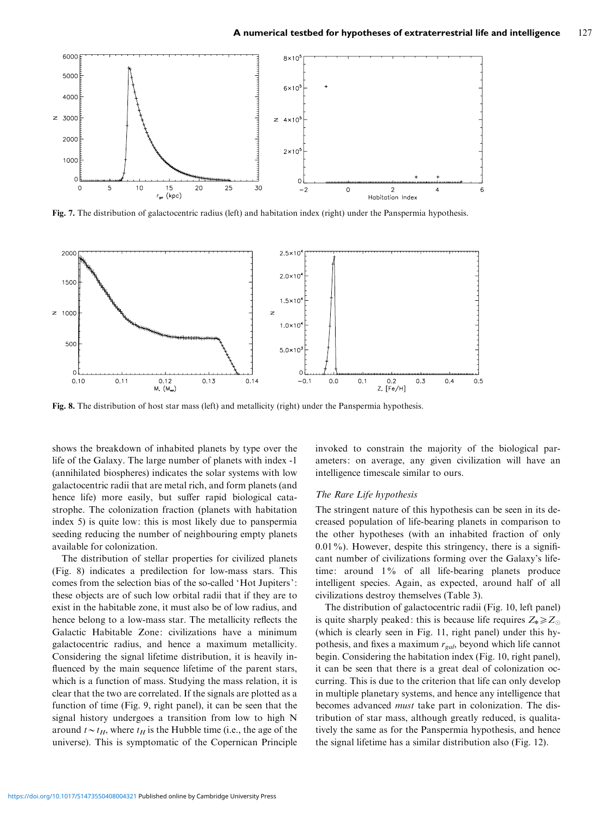

Fig. 7. The distribution of galactocentric radius (left) and habitation index (right) under the Panspermia hypothesis.



Fig. 8. The distribution of host star mass (left) and metallicity (right) under the Panspermia hypothesis.

shows the breakdown of inhabited planets by type over the life of the Galaxy. The large number of planets with index -1 (annihilated biospheres) indicates the solar systems with low galactocentric radii that are metal rich, and form planets (and hence life) more easily, but suffer rapid biological catastrophe. The colonization fraction (planets with habitation index 5) is quite low: this is most likely due to panspermia seeding reducing the number of neighbouring empty planets available for colonization.

The distribution of stellar properties for civilized planets (Fig. 8) indicates a predilection for low-mass stars. This comes from the selection bias of the so-called 'Hot Jupiters': these objects are of such low orbital radii that if they are to exist in the habitable zone, it must also be of low radius, and hence belong to a low-mass star. The metallicity reflects the Galactic Habitable Zone: civilizations have a minimum galactocentric radius, and hence a maximum metallicity. Considering the signal lifetime distribution, it is heavily influenced by the main sequence lifetime of the parent stars, which is a function of mass. Studying the mass relation, it is clear that the two are correlated. If the signals are plotted as a function of time (Fig. 9, right panel), it can be seen that the signal history undergoes a transition from low to high N around  $t \sim t_H$ , where  $t_H$  is the Hubble time (i.e., the age of the universe). This is symptomatic of the Copernican Principle

invoked to constrain the majority of the biological parameters: on average, any given civilization will have an intelligence timescale similar to ours.

### The Rare Life hypothesis

The stringent nature of this hypothesis can be seen in its decreased population of life-bearing planets in comparison to the other hypotheses (with an inhabited fraction of only  $0.01\%$ ). However, despite this stringency, there is a significant number of civilizations forming over the Galaxy's lifetime: around 1% of all life-bearing planets produce intelligent species. Again, as expected, around half of all civilizations destroy themselves (Table 3).

The distribution of galactocentric radii (Fig. 10, left panel) is quite sharply peaked: this is because life requires  $Z_* \ge Z_{\odot}$ (which is clearly seen in Fig. 11, right panel) under this hypothesis, and fixes a maximum  $r_{gal}$ , beyond which life cannot begin. Considering the habitation index (Fig. 10, right panel), it can be seen that there is a great deal of colonization occurring. This is due to the criterion that life can only develop in multiple planetary systems, and hence any intelligence that becomes advanced must take part in colonization. The distribution of star mass, although greatly reduced, is qualitatively the same as for the Panspermia hypothesis, and hence the signal lifetime has a similar distribution also (Fig. 12).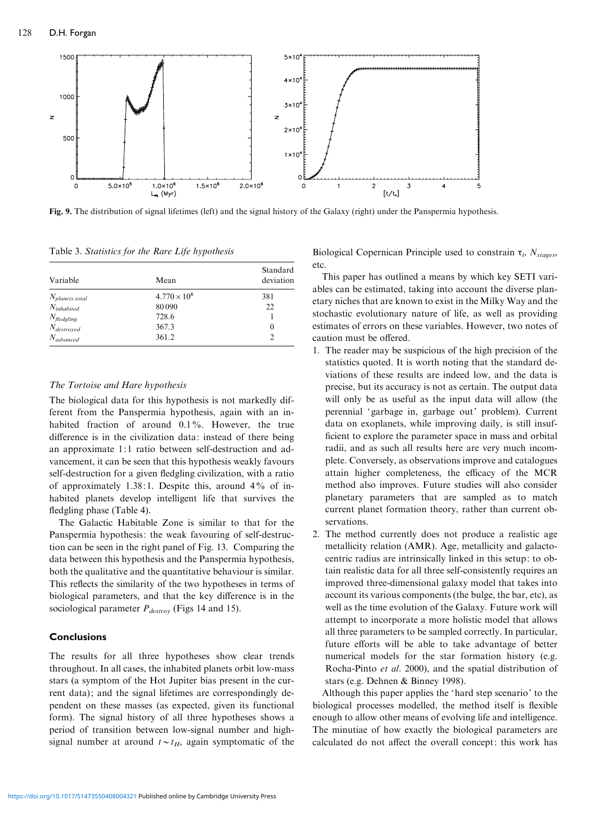

Fig. 9. The distribution of signal lifetimes (left) and the signal history of the Galaxy (right) under the Panspermia hypothesis.

Table 3. Statistics for the Rare Life hypothesis

| Variable<br>Mean                  |                     | Standard<br>deviation |  |
|-----------------------------------|---------------------|-----------------------|--|
| $N_{\text{planets},\text{total}}$ | $4.770 \times 10^8$ | 381                   |  |
| $N_{inhabited}$                   | 80090               | 22                    |  |
| $N_{\text{fledgling}}$            | 728.6               |                       |  |
| $N_{destroyed}$                   | 367.3               | 0                     |  |
| $N_{advanced}$                    | 361.2               | $\overline{2}$        |  |

### The Tortoise and Hare hypothesis

The biological data for this hypothesis is not markedly different from the Panspermia hypothesis, again with an inhabited fraction of around 0.1%. However, the true difference is in the civilization data: instead of there being an approximate 1:1 ratio between self-destruction and advancement, it can be seen that this hypothesis weakly favours self-destruction for a given fledgling civilization, with a ratio of approximately 1.38:1. Despite this, around  $4\%$  of inhabited planets develop intelligent life that survives the fledgling phase (Table 4).

The Galactic Habitable Zone is similar to that for the Panspermia hypothesis: the weak favouring of self-destruction can be seen in the right panel of Fig. 13. Comparing the data between this hypothesis and the Panspermia hypothesis, both the qualitative and the quantitative behaviour is similar. This reflects the similarity of the two hypotheses in terms of biological parameters, and that the key difference is in the sociological parameter  $P_{\text{destroy}}$  (Figs 14 and 15).

### **Conclusions**

The results for all three hypotheses show clear trends throughout. In all cases, the inhabited planets orbit low-mass stars (a symptom of the Hot Jupiter bias present in the current data); and the signal lifetimes are correspondingly dependent on these masses (as expected, given its functional form). The signal history of all three hypotheses shows a period of transition between low-signal number and highsignal number at around  $t \sim t_H$ , again symptomatic of the

Biological Copernican Principle used to constrain  $\tau_i$ ,  $N_{stages}$ etc.

This paper has outlined a means by which key SETI variables can be estimated, taking into account the diverse planetary niches that are known to exist in the Milky Way and the stochastic evolutionary nature of life, as well as providing estimates of errors on these variables. However, two notes of caution must be offered.

- 1. The reader may be suspicious of the high precision of the statistics quoted. It is worth noting that the standard deviations of these results are indeed low, and the data is precise, but its accuracy is not as certain. The output data will only be as useful as the input data will allow (the perennial 'garbage in, garbage out' problem). Current data on exoplanets, while improving daily, is still insufficient to explore the parameter space in mass and orbital radii, and as such all results here are very much incomplete. Conversely, as observations improve and catalogues attain higher completeness, the efficacy of the MCR method also improves. Future studies will also consider planetary parameters that are sampled as to match current planet formation theory, rather than current observations.
- 2. The method currently does not produce a realistic age metallicity relation (AMR). Age, metallicity and galactocentric radius are intrinsically linked in this setup: to obtain realistic data for all three self-consistently requires an improved three-dimensional galaxy model that takes into account its various components (the bulge, the bar, etc), as well as the time evolution of the Galaxy. Future work will attempt to incorporate a more holistic model that allows all three parameters to be sampled correctly. In particular, future efforts will be able to take advantage of better numerical models for the star formation history (e.g. Rocha-Pinto et al. 2000), and the spatial distribution of stars (e.g. Dehnen & Binney 1998).

Although this paper applies the 'hard step scenario' to the biological processes modelled, the method itself is flexible enough to allow other means of evolving life and intelligence. The minutiae of how exactly the biological parameters are calculated do not affect the overall concept: this work has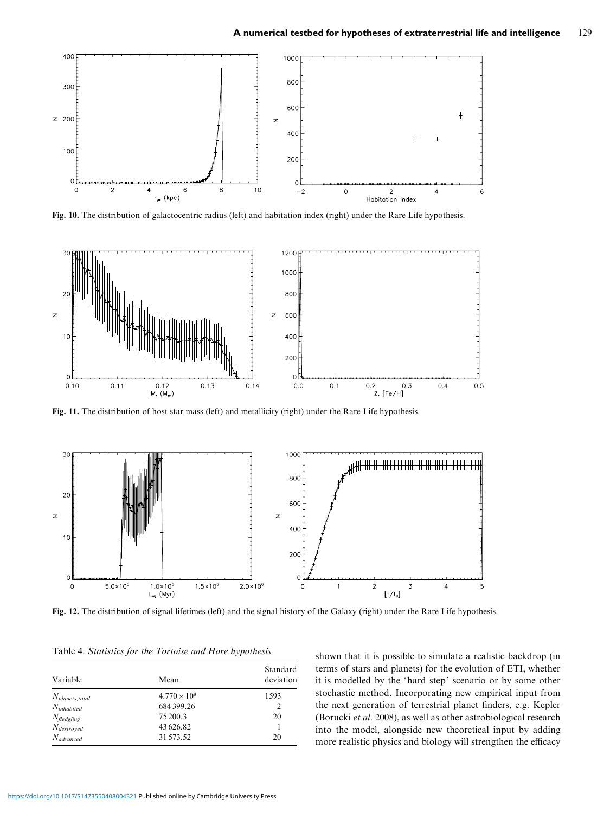

Fig. 10. The distribution of galactocentric radius (left) and habitation index (right) under the Rare Life hypothesis.



Fig. 11. The distribution of host star mass (left) and metallicity (right) under the Rare Life hypothesis.



Fig. 12. The distribution of signal lifetimes (left) and the signal history of the Galaxy (right) under the Rare Life hypothesis.

Table 4. Statistics for the Tortoise and Hare hypothesis

| Variable                          | Mean                | Standard<br>deviation |
|-----------------------------------|---------------------|-----------------------|
| $N_{\text{planets},\text{total}}$ | $4.770 \times 10^8$ | 1593                  |
| $N_{inhabited}$                   | 684 399.26          |                       |
| $N_{\text{fledgling}}$            | 75 200.3            | 20                    |
| N <sub>destroyed</sub>            | 43 626.82           |                       |
| $N_{advanced}$                    | 31 573.52           | 20                    |

shown that it is possible to simulate a realistic backdrop (in terms of stars and planets) for the evolution of ETI, whether it is modelled by the 'hard step' scenario or by some other stochastic method. Incorporating new empirical input from the next generation of terrestrial planet finders, e.g. Kepler (Borucki et al. 2008), as well as other astrobiological research into the model, alongside new theoretical input by adding more realistic physics and biology will strengthen the efficacy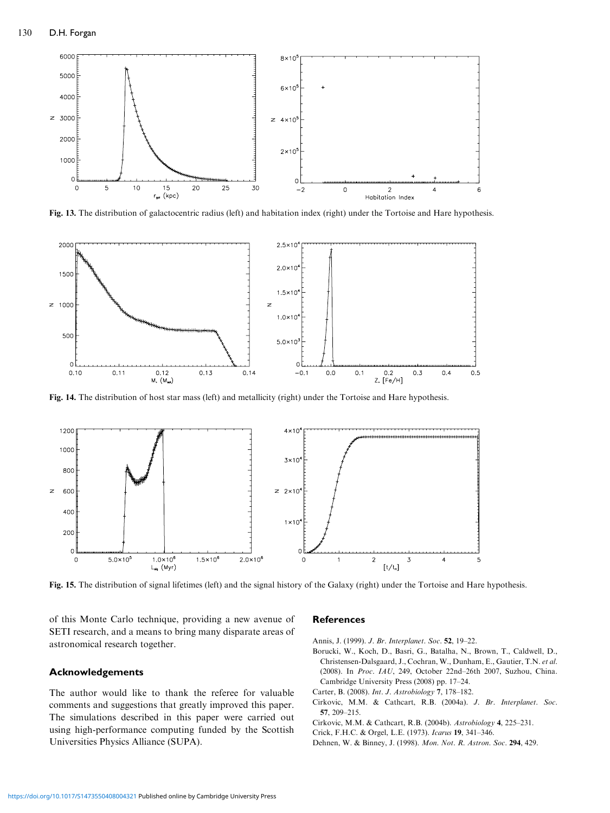

Fig. 13. The distribution of galactocentric radius (left) and habitation index (right) under the Tortoise and Hare hypothesis.



Fig. 14. The distribution of host star mass (left) and metallicity (right) under the Tortoise and Hare hypothesis.



Fig. 15. The distribution of signal lifetimes (left) and the signal history of the Galaxy (right) under the Tortoise and Hare hypothesis.

of this Monte Carlo technique, providing a new avenue of SETI research, and a means to bring many disparate areas of astronomical research together.

### Acknowledgements

The author would like to thank the referee for valuable comments and suggestions that greatly improved this paper. The simulations described in this paper were carried out using high-performance computing funded by the Scottish Universities Physics Alliance (SUPA).

#### References

Annis, J. (1999). J. Br. Interplanet. Soc. 52, 19–22.

- Borucki, W., Koch, D., Basri, G., Batalha, N., Brown, T., Caldwell, D., Christensen-Dalsgaard, J., Cochran, W., Dunham, E., Gautier, T.N. et al. (2008). In Proc. IAU, 249, October 22nd–26th 2007, Suzhou, China. Cambridge University Press (2008) pp. 17–24.
- Carter, B. (2008). Int. J. Astrobiology 7, 178–182.
- Cirkovic, M.M. & Cathcart, R.B. (2004a). J. Br. Interplanet. Soc. 57, 209–215.
- Cirkovic, M.M. & Cathcart, R.B. (2004b). Astrobiology 4, 225–231.
- Crick, F.H.C. & Orgel, L.E. (1973). Icarus 19, 341–346.
- Dehnen, W. & Binney, J. (1998). Mon. Not. R. Astron. Soc. 294, 429.